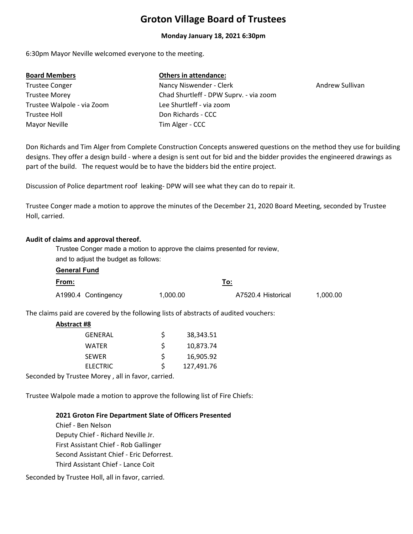# **Groton Village Board of Trustees**

## **Monday January 18, 2021 6:30pm**

6:30pm Mayor Neville welcomed everyone to the meeting.

| <b>Board Members</b>       | <b>Others in attendance:</b>           |                 |  |
|----------------------------|----------------------------------------|-----------------|--|
| <b>Trustee Conger</b>      | Nancy Niswender - Clerk                | Andrew Sullivan |  |
| Trustee Morey              | Chad Shurtleff - DPW Suprv. - via zoom |                 |  |
| Trustee Walpole - via Zoom | Lee Shurtleff - via zoom               |                 |  |
| Trustee Holl               | Don Richards - CCC                     |                 |  |
| Mayor Neville              | Tim Alger - CCC                        |                 |  |
|                            |                                        |                 |  |

Don Richards and Tim Alger from Complete Construction Concepts answered questions on the method they use for building designs. They offer a design build ‐ where a design is sent out for bid and the bidder provides the engineered drawings as part of the build. The request would be to have the bidders bid the entire project.

Discussion of Police department roof leaking‐ DPW will see what they can do to repair it.

Trustee Conger made a motion to approve the minutes of the December 21, 2020 Board Meeting, seconded by Trustee Holl, carried.

## **Audit of claims and approval thereof.**

| Trustee Conger made a motion to approve the claims presented for review, |  |
|--------------------------------------------------------------------------|--|
| and to adjust the budget as follows:                                     |  |

| <b>General Fund</b> |                     |          |            |                    |          |  |
|---------------------|---------------------|----------|------------|--------------------|----------|--|
| <u>From:</u>        |                     |          | <u>To:</u> |                    |          |  |
|                     | A1990.4 Contingency | 1.000.00 |            | A7520.4 Historical | 1.000.00 |  |

The claims paid are covered by the following lists of abstracts of audited vouchers:

| <b>Abstract #8</b> |    |            |
|--------------------|----|------------|
| GENERAL            | Ś  | 38,343.51  |
| WATER              | Ś  | 10,873.74  |
| <b>SEWER</b>       | S. | 16,905.92  |
| <b>ELECTRIC</b>    | Š. | 127,491.76 |
|                    |    |            |

Seconded by Trustee Morey , all in favor, carried.

Trustee Walpole made a motion to approve the following list of Fire Chiefs:

**2021 Groton Fire Department Slate of Officers Presented**

Chief ‐ Ben Nelson Deputy Chief ‐ Richard Neville Jr. First Assistant Chief ‐ Rob Gallinger Second Assistant Chief ‐ Eric Deforrest. Third Assistant Chief ‐ Lance Coit

Seconded by Trustee Holl, all in favor, carried.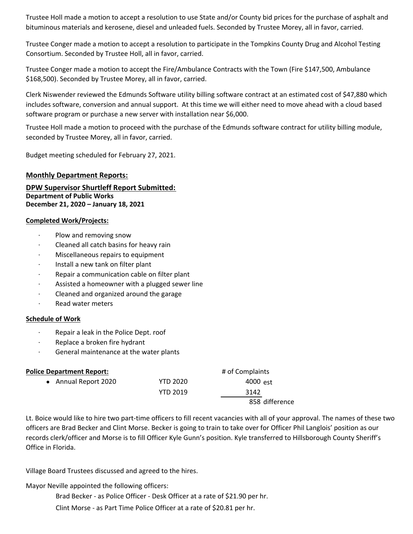Trustee Holl made a motion to accept a resolution to use State and/or County bid prices for the purchase of asphalt and bituminous materials and kerosene, diesel and unleaded fuels. Seconded by Trustee Morey, all in favor, carried.

Trustee Conger made a motion to accept a resolution to participate in the Tompkins County Drug and Alcohol Testing Consortium. Seconded by Trustee Holl, all in favor, carried.

Trustee Conger made a motion to accept the Fire/Ambulance Contracts with the Town (Fire \$147,500, Ambulance \$168,500). Seconded by Trustee Morey, all in favor, carried.

Clerk Niswender reviewed the Edmunds Software utility billing software contract at an estimated cost of \$47,880 which includes software, conversion and annual support. At this time we will either need to move ahead with a cloud based software program or purchase a new server with installation near \$6,000.

Trustee Holl made a motion to proceed with the purchase of the Edmunds software contract for utility billing module, seconded by Trustee Morey, all in favor, carried.

Budget meeting scheduled for February 27, 2021.

## **Monthly Department Reports:**

**DPW Supervisor Shurtleff Report Submitted: Department of Public Works December 21, 2020 – January 18, 2021**

## **Completed Work/Projects:**

- ∙ Plow and removing snow
- ∙ Cleaned all catch basins for heavy rain
- ∙ Miscellaneous repairs to equipment
- ∙ Install a new tank on filter plant
- Repair a communication cable on filter plant
- ∙ Assisted a homeowner with a plugged sewer line
- ∙ Cleaned and organized around the garage
- ∙ Read water meters

## **Schedule of Work**

- ∙ Repair a leak in the Police Dept. roof
- ∙ Replace a broken fire hydrant
- ∙ General maintenance at the water plants

| <b>Police Department Report:</b> |                 | # of Complaints |
|----------------------------------|-----------------|-----------------|
| • Annual Report 2020             | <b>YTD 2020</b> | +4000 est       |
|                                  | <b>YTD 2019</b> | 3142            |
|                                  |                 | 858 difference  |

Lt. Boice would like to hire two part‐time officers to fill recent vacancies with all of your approval. The names of these two officers are Brad Becker and Clint Morse. Becker is going to train to take over for Officer Phil Langlois' position as our records clerk/officer and Morse is to fill Officer Kyle Gunn's position. Kyle transferred to Hillsborough County Sheriff's Office in Florida.

Village Board Trustees discussed and agreed to the hires.

Mayor Neville appointed the following officers:

Brad Becker ‐ as Police Officer ‐ Desk Officer at a rate of \$21.90 per hr.

Clint Morse ‐ as Part Time Police Officer at a rate of \$20.81 per hr.